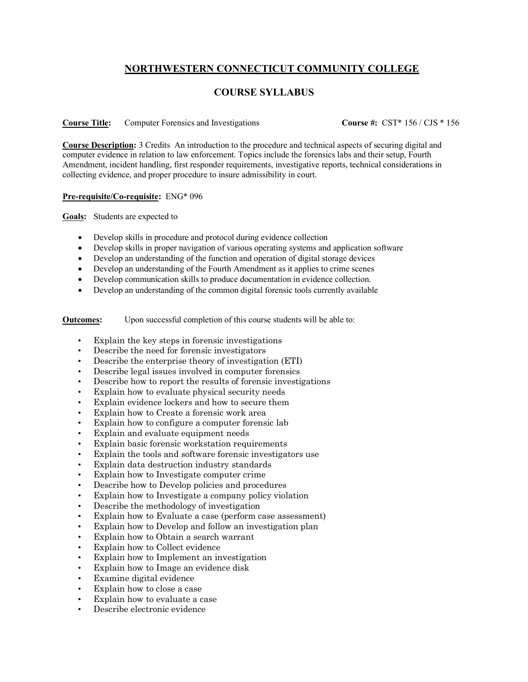## **NORTHWESTERN CONNECTICUT COMMUNITY COLLEGE**

## **COURSE SYLLABUS**

## **Course Title:** Computer Forensics and Investigations **Course #:** CST\* 156 / CJS \* 156

**Course Description:** 3 Credits An introduction to the procedure and technical aspects of securing digital and computer evidence in relation to law enforcement. Topics include the forensics labs and their setup, Fourth Amendment, incident handling, first responder requirements, investigative reports, technical considerations in collecting evidence, and proper procedure to insure admissibility in court.

## **Pre-requisite/Co-requisite:** ENG\* 096

**Goals:** Students are expected to

- Develop skills in procedure and protocol during evidence collection
- Develop skills in proper navigation of various operating systems and application software
- Develop an understanding of the function and operation of digital storage devices
- Develop an understanding of the Fourth Amendment as it applies to crime scenes
- Develop communication skills to produce documentation in evidence collection.
- Develop an understanding of the common digital forensic tools currently available

**Outcomes:** Upon successful completion of this course students will be able to:

- Explain the key steps in forensic investigations
- Describe the need for forensic investigators
- Describe the enterprise theory of investigation (ETI)
- Describe legal issues involved in computer forensics
- Describe how to report the results of forensic investigations
- Explain how to evaluate physical security needs
- Explain evidence lockers and how to secure them
- Explain how to Create a forensic work area
- Explain how to configure a computer forensic lab
- Explain and evaluate equipment needs
- Explain basic forensic workstation requirements
- Explain the tools and software forensic investigators use
- Explain data destruction industry standards
- Explain how to Investigate computer crime
- Describe how to Develop policies and procedures
- Explain how to Investigate a company policy violation
- Describe the methodology of investigation
- Explain how to Evaluate a case (perform case assessment)
- Explain how to Develop and follow an investigation plan
- Explain how to Obtain a search warrant
- Explain how to Collect evidence
- Explain how to Implement an investigation
- Explain how to Image an evidence disk
- Examine digital evidence
- Explain how to close a case
- Explain how to evaluate a case
- Describe electronic evidence